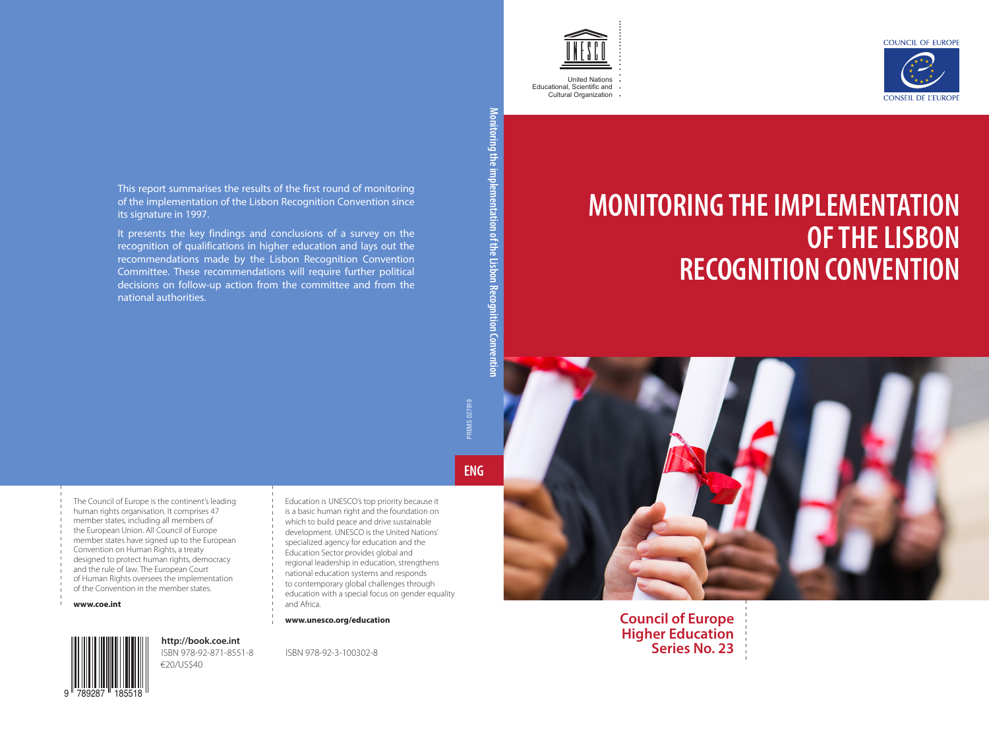



United Nations Educational, Scientific and Cultural Organization

## **MONITORING THE IMPLEMENTATION OF THE LISBON RECOGNITION CONVENTION**



**Council of Europe Higher Education Series No. 23**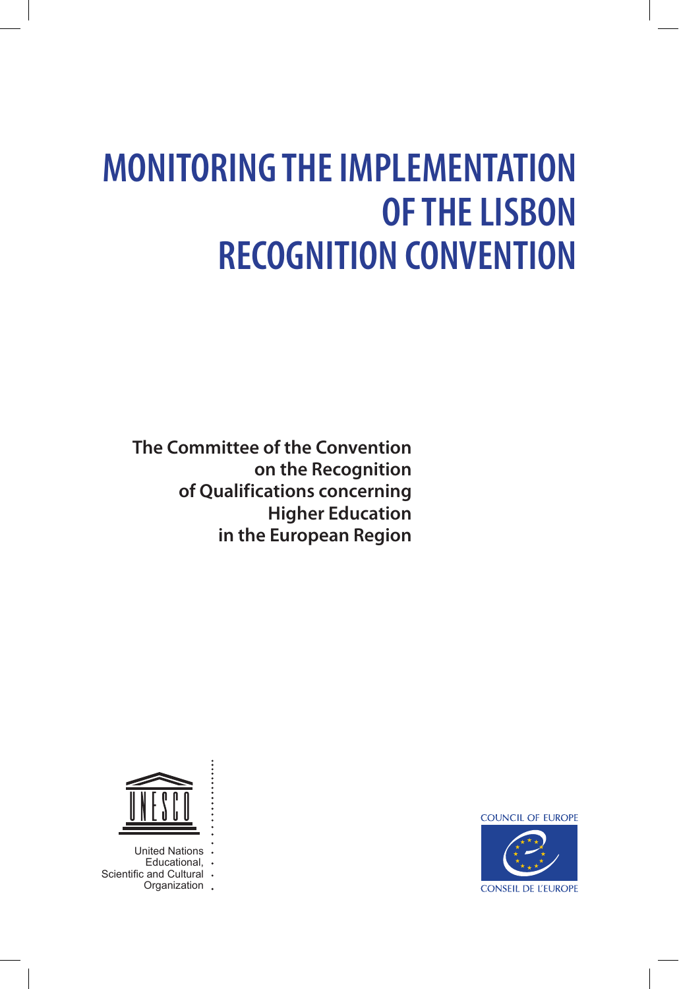# **MONITORING THE IMPLEMENTATION OF THE LISBON RECOGNITION CONVENTION**

**The Committee of the Convention on the Recognition of Qualifications concerning Higher Education in the European Region**



United Nations Educational,  $\cdot$  and Cultural  $\cdot$ Scientific and Cultural Organization .

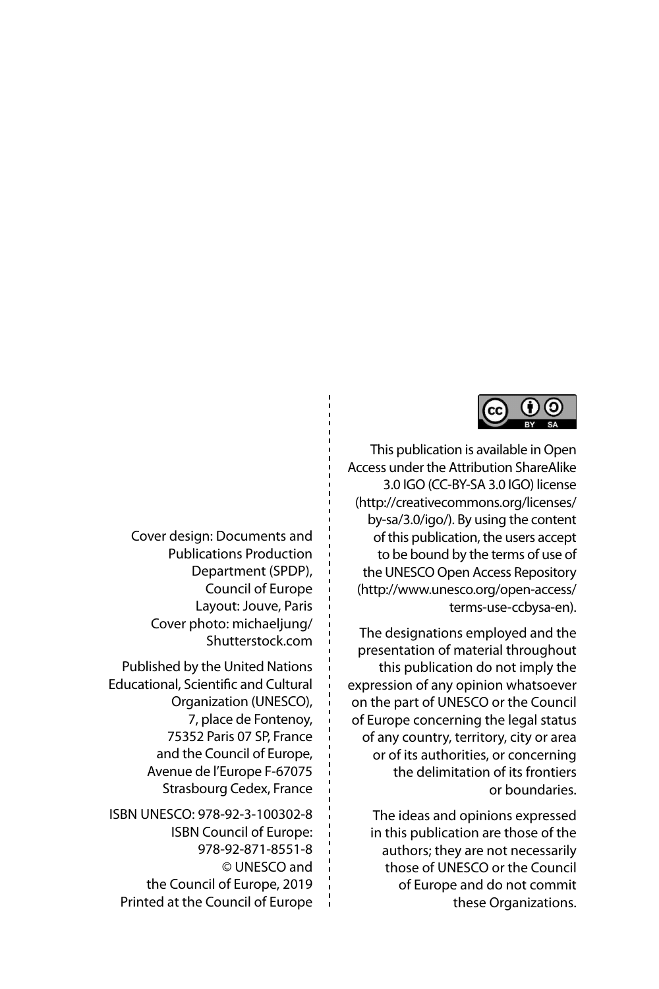

This publication is available in Open Access under the Attribution ShareAlike 3.0 IGO (CC-BY-SA 3.0 IGO) license [\(http://creativecommons.org/licenses/](http://creativecommons.org/licenses/by-sa/3.0/igo/) [by-sa/3.0/igo/](http://creativecommons.org/licenses/by-sa/3.0/igo/)). By using the content of this publication, the users accept to be bound by the terms of use of the UNESCO Open Access Repository [\(http://www.unesco.org/open-access/](http://www.unesco.org/open-access/terms-use-ccbysa-en) [terms-use-ccbysa-en](http://www.unesco.org/open-access/terms-use-ccbysa-en)).

The designations employed and the presentation of material throughout this publication do not imply the expression of any opinion whatsoever on the part of UNESCO or the Council of Europe concerning the legal status of any country, territory, city or area or of its authorities, or concerning the delimitation of its frontiers or boundaries.

The ideas and opinions expressed in this publication are those of the authors; they are not necessarily those of UNESCO or the Council of Europe and do not commit these Organizations.

Cover design: Documents and Publications Production Department (SPDP), Council of Europe Layout: Jouve, Paris Cover photo: [michaeljung/](http://michaeljung/Shutterstock.com) [Shutterstock.com](http://michaeljung/Shutterstock.com)

Published by the United Nations Educational, Scientific and Cultural Organization (UNESCO), 7, place de Fontenoy, 75352 Paris 07 SP, France and the Council of Europe, Avenue de l'Europe F-67075 Strasbourg Cedex, France

ISBN UNESCO: 978-92-3-100302-8 ISBN Council of Europe: 978-92-871-8551-8 © UNESCO and the Council of Europe, 2019 Printed at the Council of Europe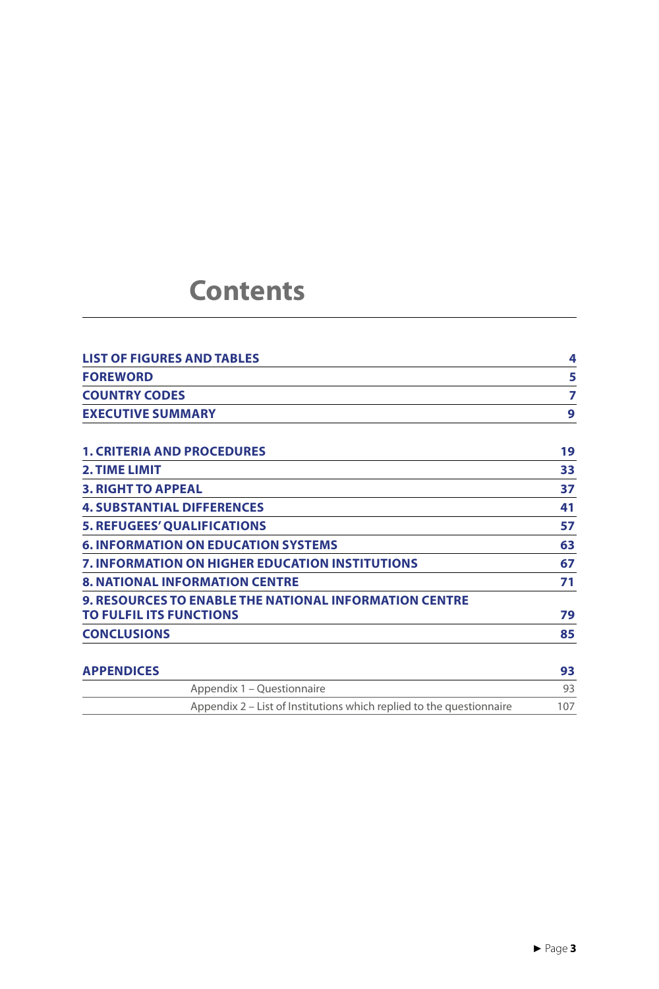### **Contents**

| <b>LIST OF FIGURES AND TABLES</b>                             | 4  |
|---------------------------------------------------------------|----|
| <b>FOREWORD</b>                                               | 5  |
| <b>COUNTRY CODES</b>                                          | 7  |
| <b>EXECUTIVE SUMMARY</b>                                      | 9  |
| <b>1. CRITERIA AND PROCEDURES</b>                             | 19 |
| <b>2. TIME LIMIT</b>                                          | 33 |
| <b>3. RIGHT TO APPEAL</b>                                     | 37 |
| <b>4. SUBSTANTIAL DIFFERENCES</b>                             | 41 |
| <b>5. REFUGEES' QUALIFICATIONS</b>                            | 57 |
| <b>6. INFORMATION ON EDUCATION SYSTEMS</b>                    | 63 |
| <b>7. INFORMATION ON HIGHER EDUCATION INSTITUTIONS</b>        | 67 |
| <b>8. NATIONAL INFORMATION CENTRE</b>                         | 71 |
| <b>9. RESOURCES TO ENABLE THE NATIONAL INFORMATION CENTRE</b> |    |
| <b>TO FULFIL ITS FUNCTIONS</b>                                | 79 |
| <b>CONCLUSIONS</b>                                            | 85 |

| <b>APPENDICES</b>                                                    |     |  |
|----------------------------------------------------------------------|-----|--|
| Appendix 1 – Questionnaire                                           |     |  |
| Appendix 2 – List of Institutions which replied to the questionnaire | 107 |  |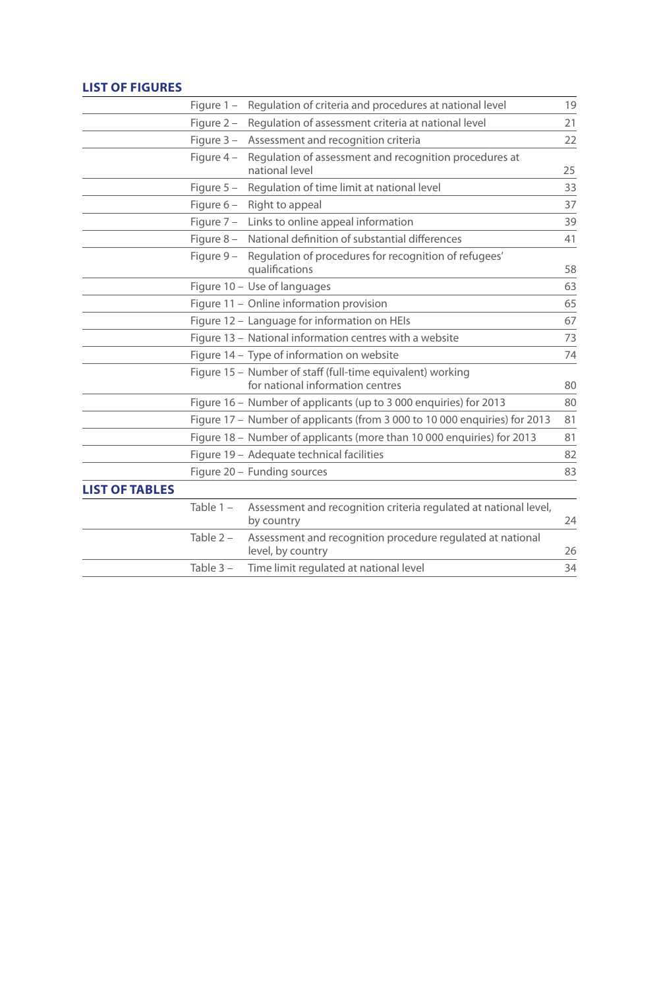#### **List of figures**

|                       | Figure $1 -$ | Regulation of criteria and procedures at national level                                        | 19 |
|-----------------------|--------------|------------------------------------------------------------------------------------------------|----|
|                       | Figure $2 -$ | Regulation of assessment criteria at national level                                            | 21 |
|                       | Figure $3 -$ | Assessment and recognition criteria                                                            | 22 |
|                       | Figure $4 -$ | Regulation of assessment and recognition procedures at<br>national level                       | 25 |
|                       | Figure $5 -$ | Regulation of time limit at national level                                                     | 33 |
|                       | Figure $6-$  | Right to appeal                                                                                | 37 |
|                       |              | Figure 7 - Links to online appeal information                                                  | 39 |
|                       |              | Figure 8 - National definition of substantial differences                                      | 41 |
|                       |              | Figure 9 - Regulation of procedures for recognition of refugees'<br>qualifications             | 58 |
|                       |              | Figure 10 - Use of languages                                                                   | 63 |
|                       |              | Figure 11 - Online information provision                                                       | 65 |
|                       |              | Figure 12 - Language for information on HEIs                                                   | 67 |
|                       |              | Figure 13 - National information centres with a website                                        | 73 |
|                       |              | Figure 14 – Type of information on website                                                     | 74 |
|                       |              | Figure 15 - Number of staff (full-time equivalent) working<br>for national information centres | 80 |
|                       |              | Figure 16 - Number of applicants (up to 3 000 enquiries) for 2013                              | 80 |
|                       |              | Figure 17 – Number of applicants (from 3 000 to 10 000 enquiries) for 2013                     | 81 |
|                       |              | Figure 18 - Number of applicants (more than 10 000 enquiries) for 2013                         | 81 |
|                       |              | Figure 19 - Adequate technical facilities                                                      | 82 |
|                       |              | Figure 20 - Funding sources                                                                    | 83 |
| <b>LIST OF TABLES</b> |              |                                                                                                |    |
|                       | Table $1 -$  | Assessment and recognition criteria regulated at national level,<br>by country                 | 24 |
|                       | Table $2 -$  | Assessment and recognition procedure regulated at national<br>level, by country                | 26 |
|                       | Table $3 -$  | Time limit regulated at national level                                                         | 34 |
|                       |              |                                                                                                |    |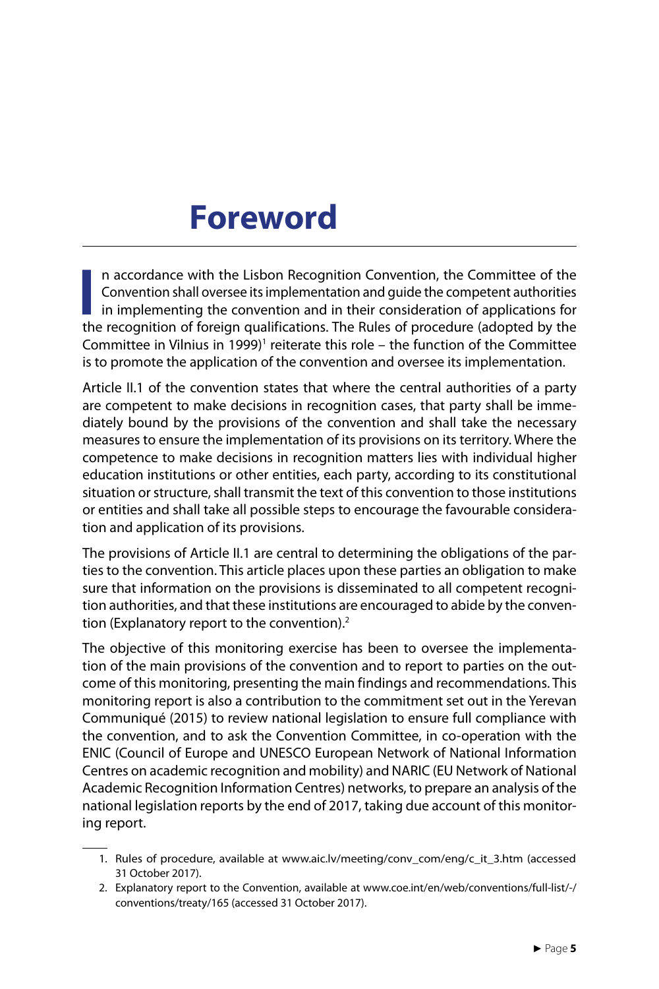### **Foreword**

In accordance with the Lisbon Recognition Convention, the Committee of the Convention shall oversee its implementation and guide the competent authorities in implementing the convention and in their consideration of applic n accordance with the Lisbon Recognition Convention, the Committee of the Convention shall oversee its implementation and guide the competent authorities in implementing the convention and in their consideration of applications for Committee in Vilnius in 1999)<sup>1</sup> reiterate this role – the function of the Committee is to promote the application of the convention and oversee its implementation.

Article II.1 of the convention states that where the central authorities of a party are competent to make decisions in recognition cases, that party shall be immediately bound by the provisions of the convention and shall take the necessary measures to ensure the implementation of its provisions on its territory. Where the competence to make decisions in recognition matters lies with individual higher education institutions or other entities, each party, according to its constitutional situation or structure, shall transmit the text of this convention to those institutions or entities and shall take all possible steps to encourage the favourable consideration and application of its provisions.

The provisions of Article II.1 are central to determining the obligations of the parties to the convention. This article places upon these parties an obligation to make sure that information on the provisions is disseminated to all competent recognition authorities, and that these institutions are encouraged to abide by the convention (Explanatory report to the convention).<sup>2</sup>

The objective of this monitoring exercise has been to oversee the implementation of the main provisions of the convention and to report to parties on the outcome of this monitoring, presenting the main findings and recommendations. This monitoring report is also a contribution to the commitment set out in the Yerevan Communiqué (2015) to review national legislation to ensure full compliance with the convention, and to ask the Convention Committee, in co-operation with the ENIC (Council of Europe and UNESCO European Network of National Information Centres on academic recognition and mobility) and NARIC (EU Network of National Academic Recognition Information Centres) networks, to prepare an analysis of the national legislation reports by the end of 2017, taking due account of this monitoring report.

<sup>1.</sup> Rules of procedure, available at [www.aic.lv/meeting/conv\\_com/eng/c\\_it\\_3.htm](http://www.aic.lv/meeting/conv_com/eng/c_it_3.htm) (accessed 31 October 2017).

<sup>2.</sup> Explanatory report to the Convention, available at [www.coe.int/en/web/conventions/full-list/-/](http://www.coe.int./en/web/conventions/full-list/-/conventions/treaty/165) [conventions/treaty/165](http://www.coe.int./en/web/conventions/full-list/-/conventions/treaty/165) (accessed 31 October 2017).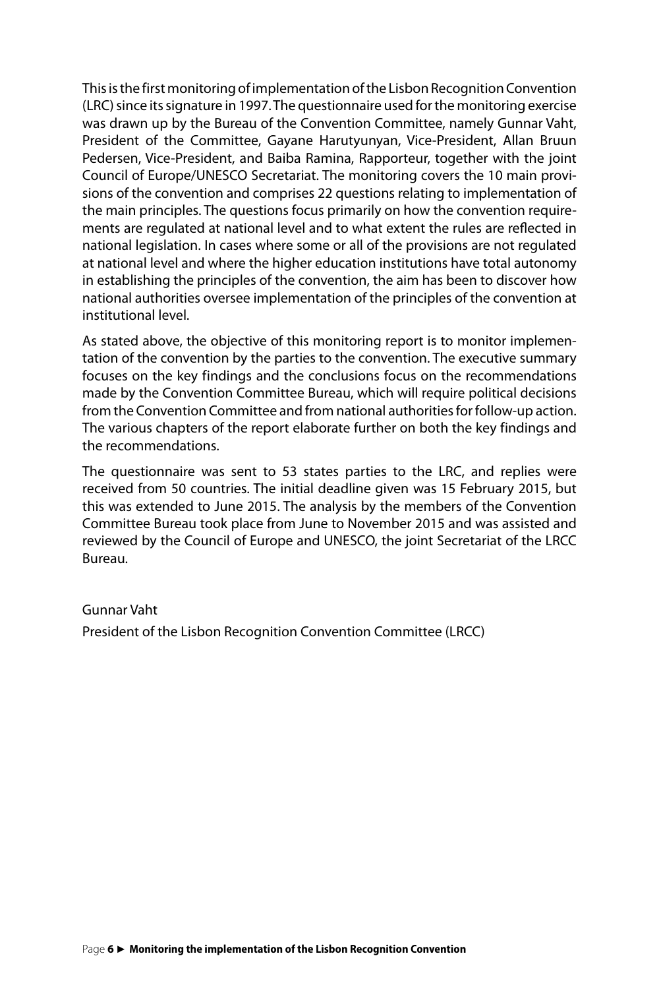This is the first monitoring of implementation of the Lisbon Recognition Convention (LRC) since its signature in 1997. The questionnaire used for the monitoring exercise was drawn up by the Bureau of the Convention Committee, namely Gunnar Vaht, President of the Committee, Gayane Harutyunyan, Vice-President, Allan Bruun Pedersen, Vice-President, and Baiba Ramina, Rapporteur, together with the joint Council of Europe/UNESCO Secretariat. The monitoring covers the 10 main provisions of the convention and comprises 22 questions relating to implementation of the main principles. The questions focus primarily on how the convention requirements are regulated at national level and to what extent the rules are reflected in national legislation. In cases where some or all of the provisions are not regulated at national level and where the higher education institutions have total autonomy in establishing the principles of the convention, the aim has been to discover how national authorities oversee implementation of the principles of the convention at institutional level.

As stated above, the objective of this monitoring report is to monitor implementation of the convention by the parties to the convention. The executive summary focuses on the key findings and the conclusions focus on the recommendations made by the Convention Committee Bureau, which will require political decisions from the Convention Committee and from national authorities for follow-up action. The various chapters of the report elaborate further on both the key findings and the recommendations.

The questionnaire was sent to 53 states parties to the LRC, and replies were received from 50 countries. The initial deadline given was 15 February 2015, but this was extended to June 2015. The analysis by the members of the Convention Committee Bureau took place from June to November 2015 and was assisted and reviewed by the Council of Europe and UNESCO, the joint Secretariat of the LRCC Bureau.

#### Gunnar Vaht

President of the Lisbon Recognition Convention Committee (LRCC)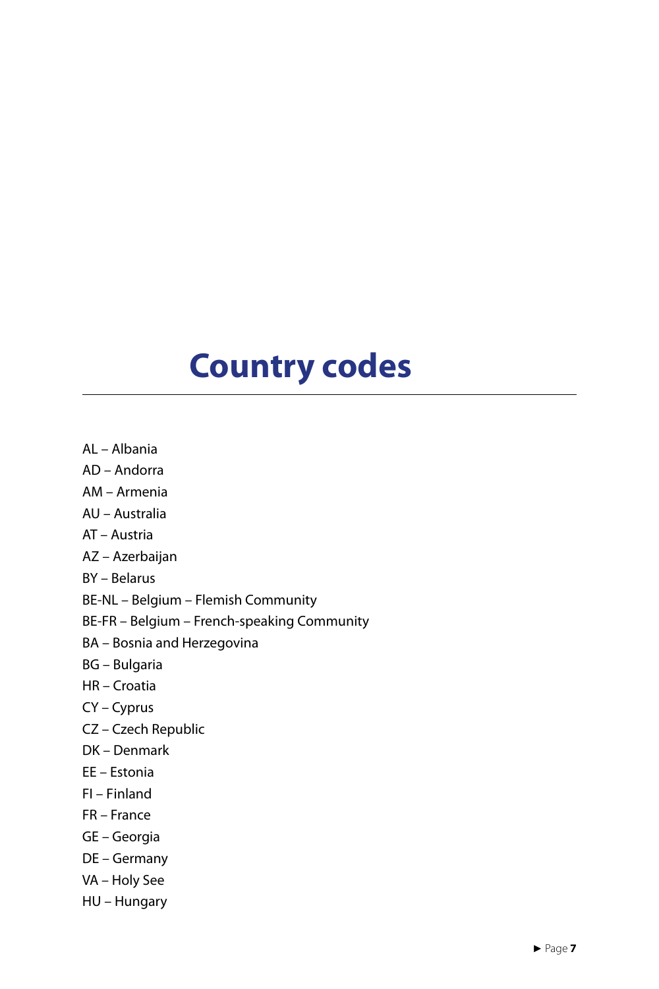## **Country codes**

- AL Albania
- AD Andorra
- AM Armenia
- AU Australia
- AT Austria
- AZ Azerbaijan
- BY Belarus
- BE-NL Belgium Flemish Community
- BE-FR Belgium French-speaking Community
- BA Bosnia and Herzegovina
- BG Bulgaria
- HR Croatia
- CY Cyprus
- CZ Czech Republic
- DK Denmark
- EE Estonia
- FI Finland
- FR France
- GE Georgia
- DE Germany
- VA Holy See
- HU Hungary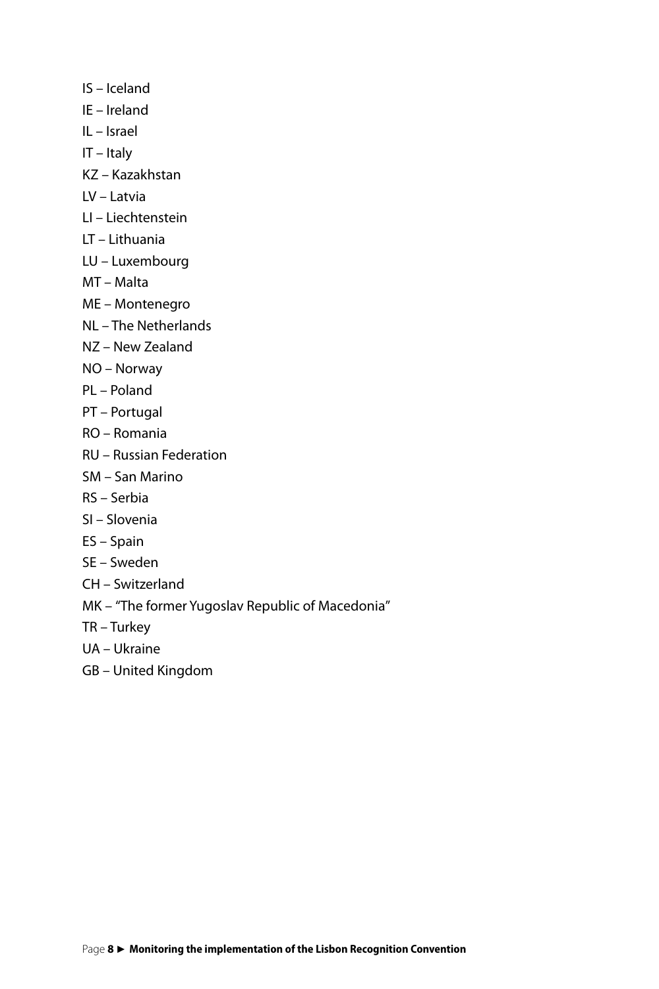- IS Iceland
- IE Ireland
- IL Israel
- IT Italy
- KZ Kazakhstan
- LV Latvia
- LI Liechtenstein
- LT Lithuania
- LU Luxembourg
- MT Malta
- ME Montenegro
- NL The Netherlands
- NZ New Zealand
- NO Norway
- PL Poland
- PT Portugal
- RO Romania
- RU Russian Federation
- SM San Marino
- RS Serbia
- SI Slovenia
- ES Spain
- SE Sweden
- CH Switzerland
- MK "The former Yugoslav Republic of Macedonia"
- TR Turkey
- UA Ukraine
- GB United Kingdom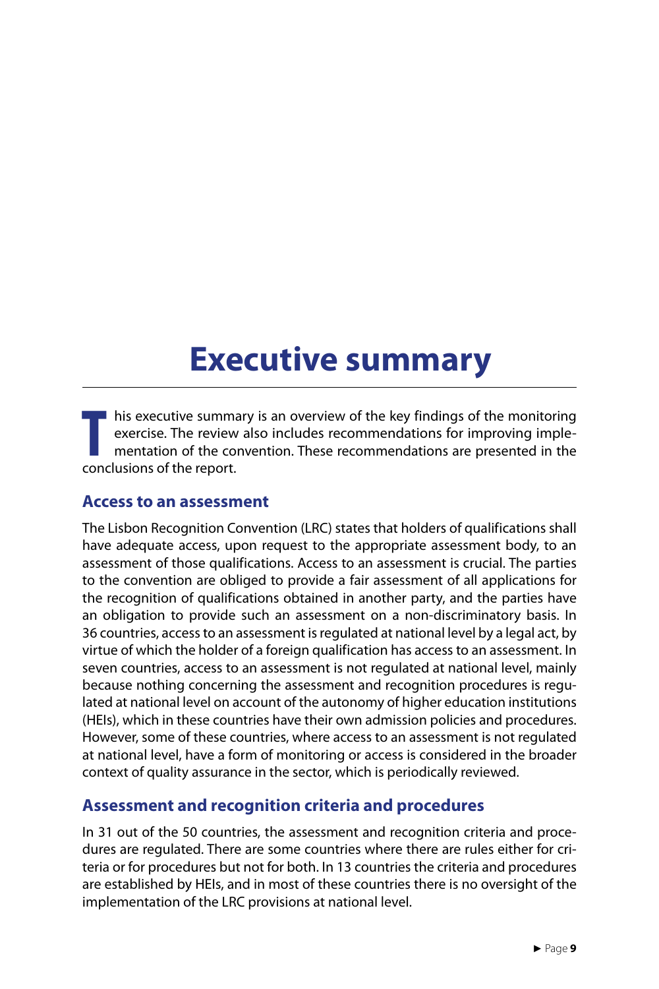### **Executive summary**

**THE SECULTE SECULTER SECULTS**<br> **THE REPORTER SECULTS**<br> **THE CONCLUSIONS OF the report.** I his executive summary is an overview of the key findings of the monitoring exercise. The review also includes recommendations for improving implementation of the convention. These recommendations are presented in the

#### **Access to an assessment**

The Lisbon Recognition Convention (LRC) states that holders of qualifications shall have adequate access, upon request to the appropriate assessment body, to an assessment of those qualifications. Access to an assessment is crucial. The parties to the convention are obliged to provide a fair assessment of all applications for the recognition of qualifications obtained in another party, and the parties have an obligation to provide such an assessment on a non-discriminatory basis. In 36 countries, access to an assessment is regulated at national level by a legal act, by virtue of which the holder of a foreign qualification has access to an assessment. In seven countries, access to an assessment is not regulated at national level, mainly because nothing concerning the assessment and recognition procedures is regulated at national level on account of the autonomy of higher education institutions (HEIs), which in these countries have their own admission policies and procedures. However, some of these countries, where access to an assessment is not regulated at national level, have a form of monitoring or access is considered in the broader context of quality assurance in the sector, which is periodically reviewed.

### **Assessment and recognition criteria and procedures**

In 31 out of the 50 countries, the assessment and recognition criteria and procedures are regulated. There are some countries where there are rules either for criteria or for procedures but not for both. In 13 countries the criteria and procedures are established by HEIs, and in most of these countries there is no oversight of the implementation of the LRC provisions at national level.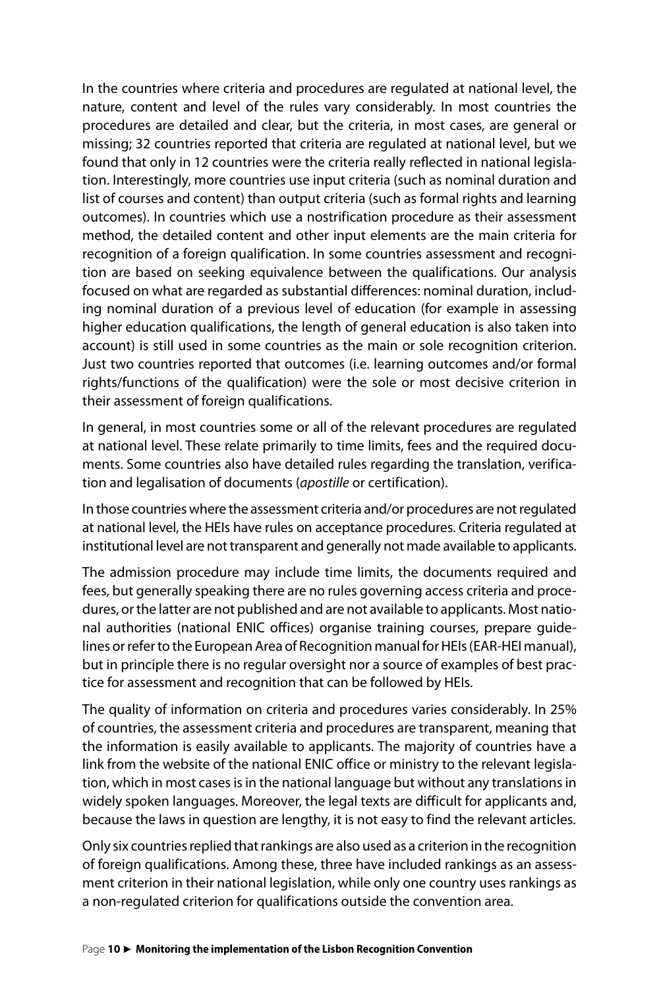In the countries where criteria and procedures are regulated at national level, the nature, content and level of the rules vary considerably. In most countries the procedures are detailed and clear, but the criteria, in most cases, are general or missing; 32 countries reported that criteria are regulated at national level, but we found that only in 12 countries were the criteria really reflected in national legislation. Interestingly, more countries use input criteria (such as nominal duration and list of courses and content) than output criteria (such as formal rights and learning outcomes). In countries which use a nostrification procedure as their assessment method, the detailed content and other input elements are the main criteria for recognition of a foreign qualification. In some countries assessment and recognition are based on seeking equivalence between the qualifications. Our analysis focused on what are regarded as substantial differences: nominal duration, including nominal duration of a previous level of education (for example in assessing higher education qualifications, the length of general education is also taken into account) is still used in some countries as the main or sole recognition criterion. Just two countries reported that outcomes (i.e. learning outcomes and/or formal rights/functions of the qualification) were the sole or most decisive criterion in their assessment of foreign qualifications.

In general, in most countries some or all of the relevant procedures are regulated at national level. These relate primarily to time limits, fees and the required documents. Some countries also have detailed rules regarding the translation, verification and legalisation of documents (*apostille* or certification).

In those countries where the assessment criteria and/or procedures are not regulated at national level, the HEIs have rules on acceptance procedures. Criteria regulated at institutional level are not transparent and generally not made available to applicants.

The admission procedure may include time limits, the documents required and fees, but generally speaking there are no rules governing access criteria and procedures, or the latter are not published and are not available to applicants. Most national authorities (national ENIC offices) organise training courses, prepare guidelines or refer to the European Area of Recognition manual for HEIs (EAR-HEI manual), but in principle there is no regular oversight nor a source of examples of best practice for assessment and recognition that can be followed by HEIs.

The quality of information on criteria and procedures varies considerably. In 25% of countries, the assessment criteria and procedures are transparent, meaning that the information is easily available to applicants. The majority of countries have a link from the website of the national ENIC office or ministry to the relevant legislation, which in most cases is in the national language but without any translations in widely spoken languages. Moreover, the legal texts are difficult for applicants and, because the laws in question are lengthy, it is not easy to find the relevant articles.

Only six countries replied that rankings are also used as a criterion in the recognition of foreign qualifications. Among these, three have included rankings as an assessment criterion in their national legislation, while only one country uses rankings as a non-regulated criterion for qualifications outside the convention area.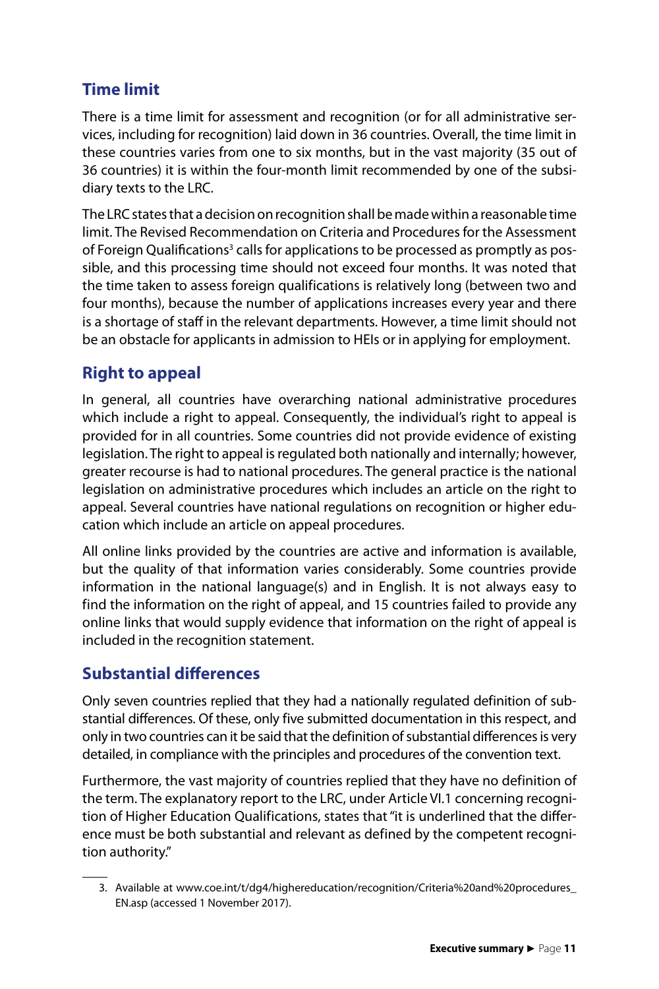### **Time limit**

There is a time limit for assessment and recognition (or for all administrative services, including for recognition) laid down in 36 countries. Overall, the time limit in these countries varies from one to six months, but in the vast majority (35 out of 36 countries) it is within the four-month limit recommended by one of the subsidiary texts to the LRC.

The LRC states that a decision on recognition shall be made within a reasonable time limit. The Revised Recommendation on Criteria and Procedures for the Assessment of Foreign Qualifications<sup>3</sup> calls for applications to be processed as promptly as possible, and this processing time should not exceed four months. It was noted that the time taken to assess foreign qualifications is relatively long (between two and four months), because the number of applications increases every year and there is a shortage of staff in the relevant departments. However, a time limit should not be an obstacle for applicants in admission to HEIs or in applying for employment.

### **Right to appeal**

In general, all countries have overarching national administrative procedures which include a right to appeal. Consequently, the individual's right to appeal is provided for in all countries. Some countries did not provide evidence of existing legislation. The right to appeal is regulated both nationally and internally; however, greater recourse is had to national procedures. The general practice is the national legislation on administrative procedures which includes an article on the right to appeal. Several countries have national regulations on recognition or higher education which include an article on appeal procedures.

All online links provided by the countries are active and information is available, but the quality of that information varies considerably. Some countries provide information in the national language(s) and in English. It is not always easy to find the information on the right of appeal, and 15 countries failed to provide any online links that would supply evidence that information on the right of appeal is included in the recognition statement.

### **Substantial differences**

Only seven countries replied that they had a nationally regulated definition of substantial differences. Of these, only five submitted documentation in this respect, and only in two countries can it be said that the definition of substantial differences is very detailed, in compliance with the principles and procedures of the convention text.

Furthermore, the vast majority of countries replied that they have no definition of the term. The explanatory report to the LRC, under Article VI.1 concerning recognition of Higher Education Qualifications, states that "it is underlined that the difference must be both substantial and relevant as defined by the competent recognition authority."

<sup>3.</sup> Available at [www.coe.int/t/dg4/highereducation/recognition/Criteria%20and%20procedures\\_](http://www.coe.int/t/dg4/highereducation/recognition/Criteria%20and%20procedures_En.asp) [EN.asp](http://www.coe.int/t/dg4/highereducation/recognition/Criteria%20and%20procedures_En.asp) (accessed 1 November 2017).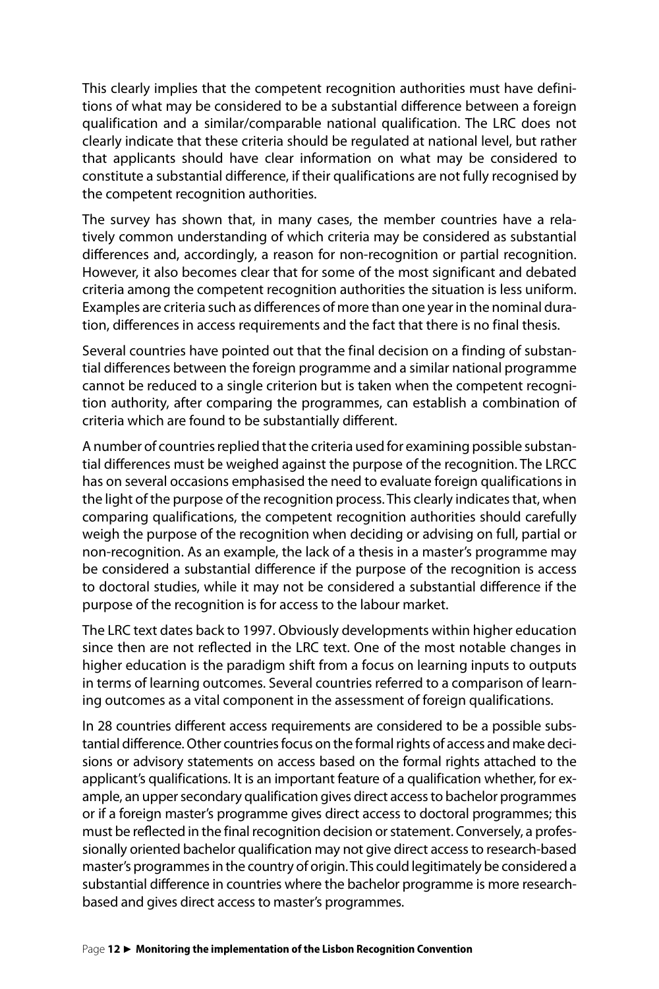This clearly implies that the competent recognition authorities must have definitions of what may be considered to be a substantial difference between a foreign qualification and a similar/comparable national qualification. The LRC does not clearly indicate that these criteria should be regulated at national level, but rather that applicants should have clear information on what may be considered to constitute a substantial difference, if their qualifications are not fully recognised by the competent recognition authorities.

The survey has shown that, in many cases, the member countries have a relatively common understanding of which criteria may be considered as substantial differences and, accordingly, a reason for non-recognition or partial recognition. However, it also becomes clear that for some of the most significant and debated criteria among the competent recognition authorities the situation is less uniform. Examples are criteria such as differences of more than one year in the nominal duration, differences in access requirements and the fact that there is no final thesis.

Several countries have pointed out that the final decision on a finding of substantial differences between the foreign programme and a similar national programme cannot be reduced to a single criterion but is taken when the competent recognition authority, after comparing the programmes, can establish a combination of criteria which are found to be substantially different.

A number of countries replied that the criteria used for examining possible substantial differences must be weighed against the purpose of the recognition. The LRCC has on several occasions emphasised the need to evaluate foreign qualifications in the light of the purpose of the recognition process. This clearly indicates that, when comparing qualifications, the competent recognition authorities should carefully weigh the purpose of the recognition when deciding or advising on full, partial or non-recognition. As an example, the lack of a thesis in a master's programme may be considered a substantial difference if the purpose of the recognition is access to doctoral studies, while it may not be considered a substantial difference if the purpose of the recognition is for access to the labour market.

The LRC text dates back to 1997. Obviously developments within higher education since then are not reflected in the LRC text. One of the most notable changes in higher education is the paradigm shift from a focus on learning inputs to outputs in terms of learning outcomes. Several countries referred to a comparison of learning outcomes as a vital component in the assessment of foreign qualifications.

In 28 countries different access requirements are considered to be a possible substantial difference. Other countries focus on the formal rights of access and make decisions or advisory statements on access based on the formal rights attached to the applicant's qualifications. It is an important feature of a qualification whether, for example, an upper secondary qualification gives direct access to bachelor programmes or if a foreign master's programme gives direct access to doctoral programmes; this must be reflected in the final recognition decision or statement. Conversely, a professionally oriented bachelor qualification may not give direct access to research-based master's programmes in the country of origin. This could legitimately be considered a substantial difference in countries where the bachelor programme is more researchbased and gives direct access to master's programmes.